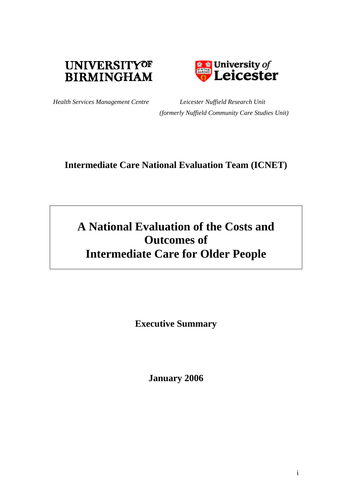



*Health Services Management Centre Leicester Nuffield Research Unit (formerly Nuffield Community Care Studies Unit)* 

# **Intermediate Care National Evaluation Team (ICNET)**

# **A National Evaluation of the Costs and Outcomes of Intermediate Care for Older People**

**Executive Summary** 

**January 2006**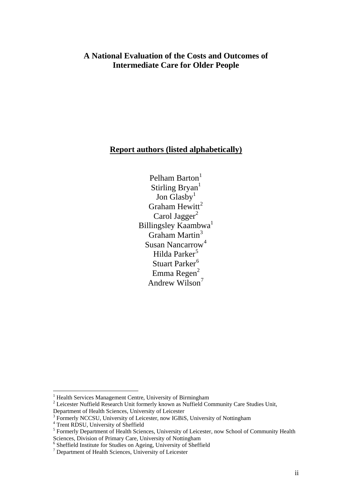### **A National Evaluation of the Costs and Outcomes of Intermediate Care for Older People**

# **Report authors (listed alphabetically)**

Pelham Barton<sup>[1](#page-1-0)</sup> Stirling Bryan<sup>1</sup> Jon  $\widetilde{G}$ lasby<sup>1</sup> Graham Hewitt<sup>[2](#page-1-1)</sup> Carol Jagger $<sup>2</sup>$ </sup> Billingsley Kaambwa<sup>1</sup> Graham Martin<sup>[3](#page-1-2)</sup> Susan Nancarrow<sup>[4](#page-1-3)</sup> Hilda Parker<sup>[5](#page-1-4)</sup> Stuart Parker $^6$  $^6$ Emma Regen $2$ Andrew Wilson<sup>[7](#page-1-6)</sup>

 $\overline{a}$ 

<span id="page-1-0"></span><sup>&</sup>lt;sup>1</sup> Health Services Management Centre, University of Birmingham

<span id="page-1-1"></span><sup>&</sup>lt;sup>2</sup> Leicester Nuffield Research Unit formerly known as Nuffield Community Care Studies Unit,

Department of Health Sciences, University of Leicester

<span id="page-1-2"></span><sup>&</sup>lt;sup>3</sup> Formerly NCCSU, University of Leicester, now IGBiS, University of Nottingham

<span id="page-1-3"></span><sup>4</sup> Trent RDSU, University of Sheffield

<span id="page-1-4"></span><sup>&</sup>lt;sup>5</sup> Formerly Department of Health Sciences, University of Leicester, now School of Community Health

Sciences, Division of Primary Care, University of Nottingham<br><sup>6</sup> Sheffield Institute for Studies on Ageing, University of Sheffield

<span id="page-1-6"></span><span id="page-1-5"></span><sup>7</sup> Department of Health Sciences, University of Leicester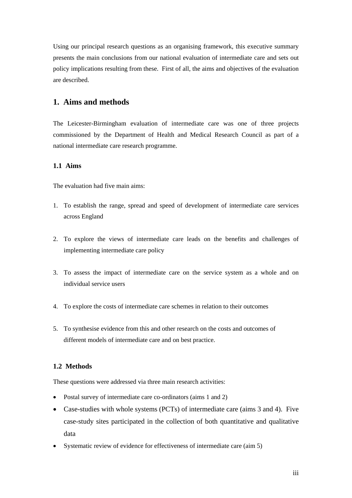Using our principal research questions as an organising framework, this executive summary presents the main conclusions from our national evaluation of intermediate care and sets out policy implications resulting from these. First of all, the aims and objectives of the evaluation are described.

### **1. Aims and methods**

The Leicester-Birmingham evaluation of intermediate care was one of three projects commissioned by the Department of Health and Medical Research Council as part of a national intermediate care research programme.

### **1.1 Aims**

The evaluation had five main aims:

- 1. To establish the range, spread and speed of development of intermediate care services across England
- 2. To explore the views of intermediate care leads on the benefits and challenges of implementing intermediate care policy
- 3. To assess the impact of intermediate care on the service system as a whole and on individual service users
- 4. To explore the costs of intermediate care schemes in relation to their outcomes
- 5. To synthesise evidence from this and other research on the costs and outcomes of different models of intermediate care and on best practice.

### **1.2 Methods**

These questions were addressed via three main research activities:

- Postal survey of intermediate care co-ordinators (aims 1 and 2)
- Case-studies with whole systems (PCTs) of intermediate care (aims 3 and 4). Five case-study sites participated in the collection of both quantitative and qualitative data
- Systematic review of evidence for effectiveness of intermediate care (aim 5)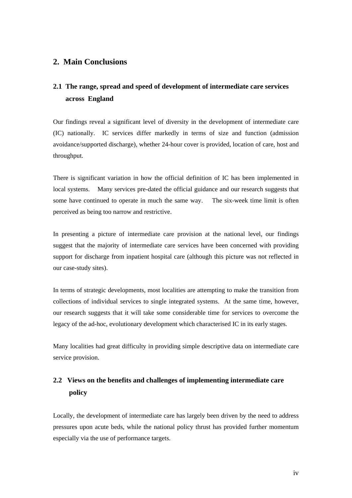### **2. Main Conclusions**

# **2.1 The range, spread and speed of development of intermediate care services across England**

Our findings reveal a significant level of diversity in the development of intermediate care (IC) nationally. IC services differ markedly in terms of size and function (admission avoidance/supported discharge), whether 24-hour cover is provided, location of care, host and throughput.

There is significant variation in how the official definition of IC has been implemented in local systems. Many services pre-dated the official guidance and our research suggests that some have continued to operate in much the same way. The six-week time limit is often perceived as being too narrow and restrictive.

In presenting a picture of intermediate care provision at the national level, our findings suggest that the majority of intermediate care services have been concerned with providing support for discharge from inpatient hospital care (although this picture was not reflected in our case-study sites).

In terms of strategic developments, most localities are attempting to make the transition from collections of individual services to single integrated systems. At the same time, however, our research suggests that it will take some considerable time for services to overcome the legacy of the ad-hoc, evolutionary development which characterised IC in its early stages.

Many localities had great difficulty in providing simple descriptive data on intermediate care service provision.

# **2.2 Views on the benefits and challenges of implementing intermediate care policy**

Locally, the development of intermediate care has largely been driven by the need to address pressures upon acute beds, while the national policy thrust has provided further momentum especially via the use of performance targets.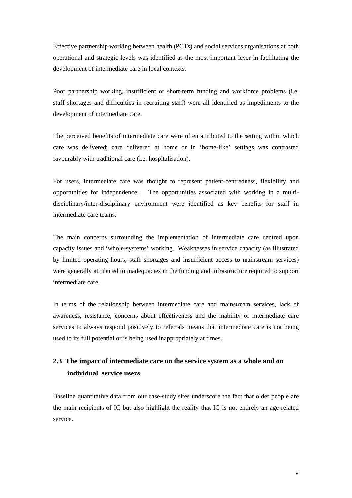Effective partnership working between health (PCTs) and social services organisations at both operational and strategic levels was identified as the most important lever in facilitating the development of intermediate care in local contexts.

Poor partnership working, insufficient or short-term funding and workforce problems (i.e. staff shortages and difficulties in recruiting staff) were all identified as impediments to the development of intermediate care.

The perceived benefits of intermediate care were often attributed to the setting within which care was delivered; care delivered at home or in 'home-like' settings was contrasted favourably with traditional care (i.e. hospitalisation).

For users, intermediate care was thought to represent patient-centredness, flexibility and opportunities for independence. The opportunities associated with working in a multidisciplinary/inter-disciplinary environment were identified as key benefits for staff in intermediate care teams.

The main concerns surrounding the implementation of intermediate care centred upon capacity issues and 'whole-systems' working. Weaknesses in service capacity (as illustrated by limited operating hours, staff shortages and insufficient access to mainstream services) were generally attributed to inadequacies in the funding and infrastructure required to support intermediate care.

In terms of the relationship between intermediate care and mainstream services, lack of awareness, resistance, concerns about effectiveness and the inability of intermediate care services to always respond positively to referrals means that intermediate care is not being used to its full potential or is being used inappropriately at times.

# **2.3 The impact of intermediate care on the service system as a whole and on individual service users**

Baseline quantitative data from our case-study sites underscore the fact that older people are the main recipients of IC but also highlight the reality that IC is not entirely an age-related service.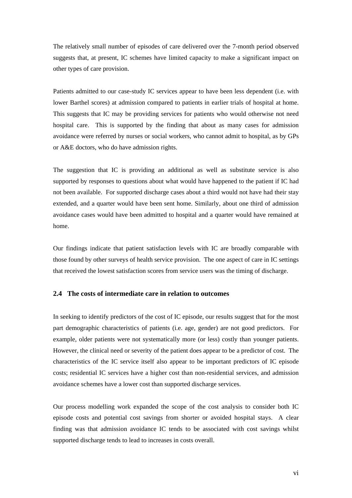The relatively small number of episodes of care delivered over the 7-month period observed suggests that, at present, IC schemes have limited capacity to make a significant impact on other types of care provision.

Patients admitted to our case-study IC services appear to have been less dependent (i.e. with lower Barthel scores) at admission compared to patients in earlier trials of hospital at home. This suggests that IC may be providing services for patients who would otherwise not need hospital care. This is supported by the finding that about as many cases for admission avoidance were referred by nurses or social workers, who cannot admit to hospital, as by GPs or A&E doctors, who do have admission rights.

The suggestion that IC is providing an additional as well as substitute service is also supported by responses to questions about what would have happened to the patient if IC had not been available. For supported discharge cases about a third would not have had their stay extended, and a quarter would have been sent home. Similarly, about one third of admission avoidance cases would have been admitted to hospital and a quarter would have remained at home.

Our findings indicate that patient satisfaction levels with IC are broadly comparable with those found by other surveys of health service provision. The one aspect of care in IC settings that received the lowest satisfaction scores from service users was the timing of discharge.

#### **2.4 The costs of intermediate care in relation to outcomes**

In seeking to identify predictors of the cost of IC episode, our results suggest that for the most part demographic characteristics of patients (i.e. age, gender) are not good predictors. For example, older patients were not systematically more (or less) costly than younger patients. However, the clinical need or severity of the patient does appear to be a predictor of cost. The characteristics of the IC service itself also appear to be important predictors of IC episode costs; residential IC services have a higher cost than non-residential services, and admission avoidance schemes have a lower cost than supported discharge services.

Our process modelling work expanded the scope of the cost analysis to consider both IC episode costs and potential cost savings from shorter or avoided hospital stays. A clear finding was that admission avoidance IC tends to be associated with cost savings whilst supported discharge tends to lead to increases in costs overall.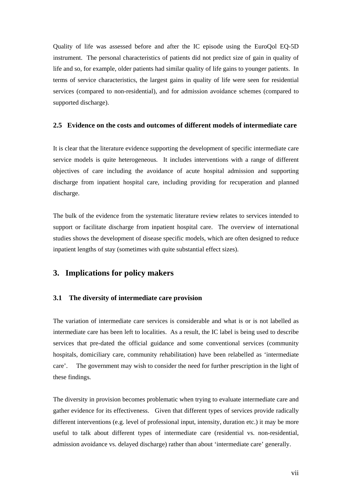Quality of life was assessed before and after the IC episode using the EuroQol EQ-5D instrument. The personal characteristics of patients did not predict size of gain in quality of life and so, for example, older patients had similar quality of life gains to younger patients. In terms of service characteristics, the largest gains in quality of life were seen for residential services (compared to non-residential), and for admission avoidance schemes (compared to supported discharge).

#### **2.5 Evidence on the costs and outcomes of different models of intermediate care**

It is clear that the literature evidence supporting the development of specific intermediate care service models is quite heterogeneous. It includes interventions with a range of different objectives of care including the avoidance of acute hospital admission and supporting discharge from inpatient hospital care, including providing for recuperation and planned discharge.

The bulk of the evidence from the systematic literature review relates to services intended to support or facilitate discharge from inpatient hospital care. The overview of international studies shows the development of disease specific models, which are often designed to reduce inpatient lengths of stay (sometimes with quite substantial effect sizes).

### **3. Implications for policy makers**

#### **3.1 The diversity of intermediate care provision**

The variation of intermediate care services is considerable and what is or is not labelled as intermediate care has been left to localities. As a result, the IC label is being used to describe services that pre-dated the official guidance and some conventional services (community hospitals, domiciliary care, community rehabilitation) have been relabelled as 'intermediate care'. The government may wish to consider the need for further prescription in the light of these findings.

The diversity in provision becomes problematic when trying to evaluate intermediate care and gather evidence for its effectiveness. Given that different types of services provide radically different interventions (e.g. level of professional input, intensity, duration etc.) it may be more useful to talk about different types of intermediate care (residential vs. non-residential, admission avoidance vs. delayed discharge) rather than about 'intermediate care' generally.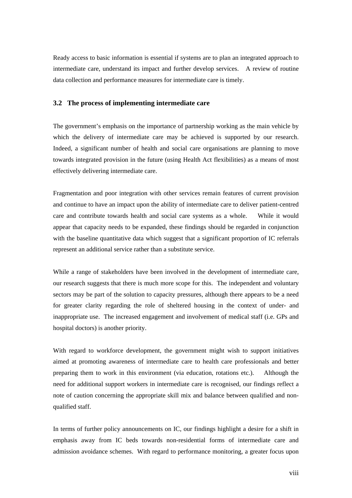Ready access to basic information is essential if systems are to plan an integrated approach to intermediate care, understand its impact and further develop services. A review of routine data collection and performance measures for intermediate care is timely.

#### **3.2 The process of implementing intermediate care**

The government's emphasis on the importance of partnership working as the main vehicle by which the delivery of intermediate care may be achieved is supported by our research. Indeed, a significant number of health and social care organisations are planning to move towards integrated provision in the future (using Health Act flexibilities) as a means of most effectively delivering intermediate care.

Fragmentation and poor integration with other services remain features of current provision and continue to have an impact upon the ability of intermediate care to deliver patient-centred care and contribute towards health and social care systems as a whole. While it would appear that capacity needs to be expanded, these findings should be regarded in conjunction with the baseline quantitative data which suggest that a significant proportion of IC referrals represent an additional service rather than a substitute service.

While a range of stakeholders have been involved in the development of intermediate care, our research suggests that there is much more scope for this. The independent and voluntary sectors may be part of the solution to capacity pressures, although there appears to be a need for greater clarity regarding the role of sheltered housing in the context of under- and inappropriate use. The increased engagement and involvement of medical staff (i.e. GPs and hospital doctors) is another priority.

With regard to workforce development, the government might wish to support initiatives aimed at promoting awareness of intermediate care to health care professionals and better preparing them to work in this environment (via education, rotations etc.). Although the need for additional support workers in intermediate care is recognised, our findings reflect a note of caution concerning the appropriate skill mix and balance between qualified and nonqualified staff.

In terms of further policy announcements on IC, our findings highlight a desire for a shift in emphasis away from IC beds towards non-residential forms of intermediate care and admission avoidance schemes. With regard to performance monitoring, a greater focus upon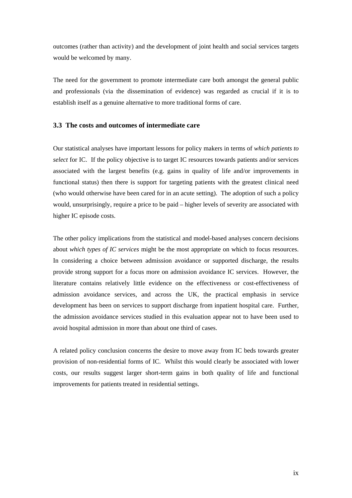outcomes (rather than activity) and the development of joint health and social services targets would be welcomed by many.

The need for the government to promote intermediate care both amongst the general public and professionals (via the dissemination of evidence) was regarded as crucial if it is to establish itself as a genuine alternative to more traditional forms of care.

#### **3.3 The costs and outcomes of intermediate care**

Our statistical analyses have important lessons for policy makers in terms of *which patients to select* for IC. If the policy objective is to target IC resources towards patients and/or services associated with the largest benefits (e.g. gains in quality of life and/or improvements in functional status) then there is support for targeting patients with the greatest clinical need (who would otherwise have been cared for in an acute setting). The adoption of such a policy would, unsurprisingly, require a price to be paid – higher levels of severity are associated with higher IC episode costs.

The other policy implications from the statistical and model-based analyses concern decisions about *which types of IC services* might be the most appropriate on which to focus resources. In considering a choice between admission avoidance or supported discharge, the results provide strong support for a focus more on admission avoidance IC services. However, the literature contains relatively little evidence on the effectiveness or cost-effectiveness of admission avoidance services, and across the UK, the practical emphasis in service development has been on services to support discharge from inpatient hospital care. Further, the admission avoidance services studied in this evaluation appear not to have been used to avoid hospital admission in more than about one third of cases.

A related policy conclusion concerns the desire to move away from IC beds towards greater provision of non-residential forms of IC. Whilst this would clearly be associated with lower costs, our results suggest larger short-term gains in both quality of life and functional improvements for patients treated in residential settings.